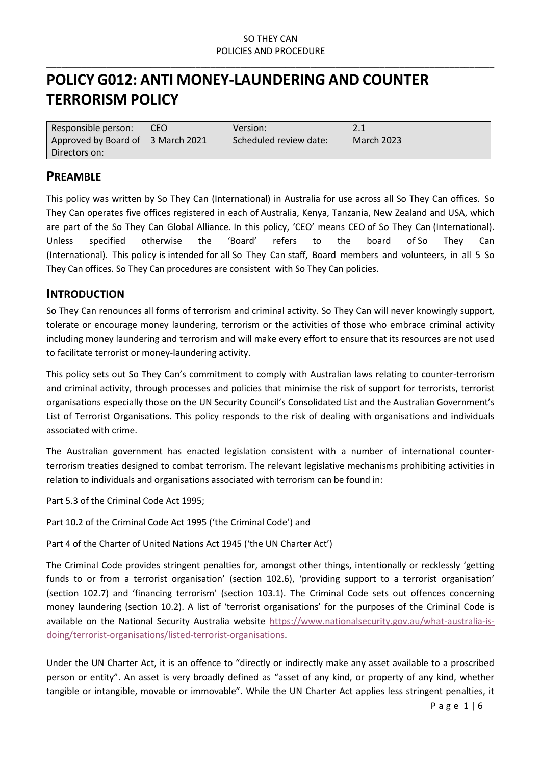\_\_\_\_\_\_\_\_\_\_\_\_\_\_\_\_\_\_\_\_\_\_\_\_\_\_\_\_\_\_\_\_\_\_\_\_\_\_\_\_\_\_\_\_\_\_\_\_\_\_\_\_\_\_\_\_\_\_\_\_\_\_\_\_\_\_\_\_\_\_\_\_\_\_\_\_\_\_\_\_\_\_\_\_\_\_\_\_\_\_

# **POLICY G012: ANTI MONEY-LAUNDERING AND COUNTER TERRORISM POLICY**

| Responsible person:               | CEO. | Version:               | 2.1               |
|-----------------------------------|------|------------------------|-------------------|
| Approved by Board of 3 March 2021 |      | Scheduled review date: | <b>March 2023</b> |
| Directors on:                     |      |                        |                   |

### **PREAMBLE**

This policy was written by So They Can (International) in Australia for use across all So They Can offices. So They Can operates five offices registered in each of Australia, Kenya, Tanzania, New Zealand and USA, which are part of the So They Can Global Alliance. In this policy, 'CEO' means CEO of So They Can (International). Unless specified otherwise the 'Board' refers to the board of So They Can (International). This policy is intended for all So They Can staff, Board members and volunteers, in all 5 So They Can offices. So They Can procedures are consistent with So They Can policies.

### **INTRODUCTION**

So They Can renounces all forms of terrorism and criminal activity. So They Can will never knowingly support, tolerate or encourage money laundering, terrorism or the activities of those who embrace criminal activity including money laundering and terrorism and will make every effort to ensure that its resources are not used to facilitate terrorist or money-laundering activity.

This policy sets out So They Can's commitment to comply with Australian laws relating to counter-terrorism and criminal activity, through processes and policies that minimise the risk of support for terrorists, terrorist organisations especially those on the UN Security Council's Consolidated List and the Australian Government's List of Terrorist Organisations. This policy responds to the risk of dealing with organisations and individuals associated with crime.

The Australian government has enacted legislation consistent with a number of international counterterrorism treaties designed to combat terrorism. The relevant legislative mechanisms prohibiting activities in relation to individuals and organisations associated with terrorism can be found in:

Part 5.3 of the Criminal Code Act 1995;

Part 10.2 of the Criminal Code Act 1995 ('the Criminal Code') and

Part 4 of the Charter of United Nations Act 1945 ('the UN Charter Act')

The Criminal Code provides stringent penalties for, amongst other things, intentionally or recklessly 'getting funds to or from a terrorist organisation' (section 102.6), 'providing support to a terrorist organisation' (section 102.7) and 'financing terrorism' (section 103.1). The Criminal Code sets out offences concerning money laundering (section 10.2). A list of 'terrorist organisations' for the purposes of the Criminal Code is available on the National Security Australia website [https://www.nationalsecurity.gov.au/what-australia-is](https://www.nationalsecurity.gov.au/what-australia-is-doing/terrorist-organisations/listed-terrorist-organisations)[doing/terrorist-organisations/listed-terrorist-organisations.](https://www.nationalsecurity.gov.au/what-australia-is-doing/terrorist-organisations/listed-terrorist-organisations)

Under the UN Charter Act, it is an offence to "directly or indirectly make any asset available to a proscribed person or entity". An asset is very broadly defined as "asset of any kind, or property of any kind, whether tangible or intangible, movable or immovable". While the UN Charter Act applies less stringent penalties, it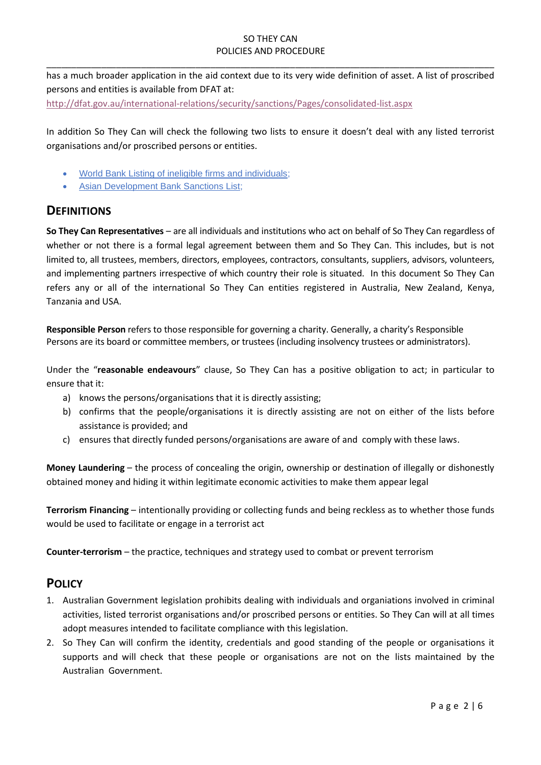has a much broader application in the aid context due to its very wide definition of asset. A list of proscribed persons and entities is available from DFAT at:

\_\_\_\_\_\_\_\_\_\_\_\_\_\_\_\_\_\_\_\_\_\_\_\_\_\_\_\_\_\_\_\_\_\_\_\_\_\_\_\_\_\_\_\_\_\_\_\_\_\_\_\_\_\_\_\_\_\_\_\_\_\_\_\_\_\_\_\_\_\_\_\_\_\_\_\_\_\_\_\_\_\_\_\_\_\_\_\_\_\_

<http://dfat.gov.au/international-relations/security/sanctions/Pages/consolidated-list.aspx>

In addition So They Can will check the following two lists to ensure it doesn't deal with any listed terrorist organisations and/or proscribed persons or entities.

- [World Bank Listing of ineligible firms and individuals;](https://www.worldbank.org/en/projects-operations/procurement/debarred-firms)
- [Asian Development Bank Sanctions List;](http://lnadbg4.adb.org/oga0009p.nsf/sancALL1P?OpenView&count=999)

# **DEFINITIONS**

**So They Can Representatives** – are all individuals and institutions who act on behalf of So They Can regardless of whether or not there is a formal legal agreement between them and So They Can. This includes, but is not limited to, all trustees, members, directors, employees, contractors, consultants, suppliers, advisors, volunteers, and implementing partners irrespective of which country their role is situated. In this document So They Can refers any or all of the international So They Can entities registered in Australia, New Zealand, Kenya, Tanzania and USA.

**Responsible Person** refers to those responsible for governing a charity. Generally, a charity's Responsible Persons are its board or committee members, or trustees (including insolvency trustees or administrators).

Under the "**reasonable endeavours**" clause, So They Can has a positive obligation to act; in particular to ensure that it:

- a) knows the persons/organisations that it is directly assisting;
- b) confirms that the people/organisations it is directly assisting are not on either of the lists before assistance is provided; and
- c) ensures that directly funded persons/organisations are aware of and comply with these laws.

**Money Laundering** – the process of concealing the origin, ownership or destination of illegally or dishonestly obtained money and hiding it within legitimate economic activities to make them appear legal

**Terrorism Financing** – intentionally providing or collecting funds and being reckless as to whether those funds would be used to facilitate or engage in a terrorist act

**Counter-terrorism** – the practice, techniques and strategy used to combat or prevent terrorism

# **POLICY**

- 1. Australian Government legislation prohibits dealing with individuals and organiations involved in criminal activities, listed terrorist organisations and/or proscribed persons or entities. So They Can will at all times adopt measures intended to facilitate compliance with this legislation.
- 2. So They Can will confirm the identity, credentials and good standing of the people or organisations it supports and will check that these people or organisations are not on the lists maintained by the Australian Government.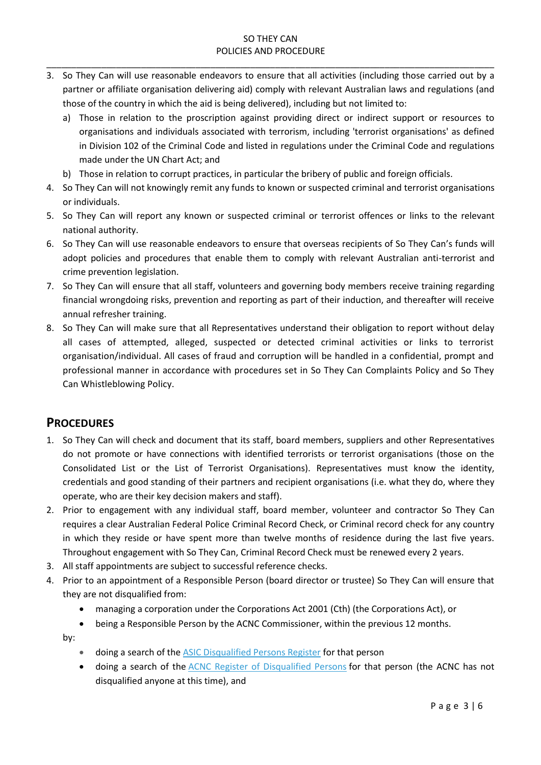\_\_\_\_\_\_\_\_\_\_\_\_\_\_\_\_\_\_\_\_\_\_\_\_\_\_\_\_\_\_\_\_\_\_\_\_\_\_\_\_\_\_\_\_\_\_\_\_\_\_\_\_\_\_\_\_\_\_\_\_\_\_\_\_\_\_\_\_\_\_\_\_\_\_\_\_\_\_\_\_\_\_\_\_\_\_\_\_\_\_

- 3. So They Can will use reasonable endeavors to ensure that all activities (including those carried out by a partner or affiliate organisation delivering aid) comply with relevant Australian laws and regulations (and those of the country in which the aid is being delivered), including but not limited to:
	- a) Those in relation to the proscription against providing direct or indirect support or resources to organisations and individuals associated with terrorism, including 'terrorist organisations' as defined in Division 102 of the Criminal Code and listed in regulations under the Criminal Code and regulations made under the UN Chart Act; and
	- b) Those in relation to corrupt practices, in particular the bribery of public and foreign officials.
- 4. So They Can will not knowingly remit any funds to known or suspected criminal and terrorist organisations or individuals.
- 5. So They Can will report any known or suspected criminal or terrorist offences or links to the relevant national authority.
- 6. So They Can will use reasonable endeavors to ensure that overseas recipients of So They Can's funds will adopt policies and procedures that enable them to comply with relevant Australian anti-terrorist and crime prevention legislation.
- 7. So They Can will ensure that all staff, volunteers and governing body members receive training regarding financial wrongdoing risks, prevention and reporting as part of their induction, and thereafter will receive annual refresher training.
- 8. So They Can will make sure that all Representatives understand their obligation to report without delay all cases of attempted, alleged, suspected or detected criminal activities or links to terrorist organisation/individual. All cases of fraud and corruption will be handled in a confidential, prompt and professional manner in accordance with procedures set in So They Can Complaints Policy and So They Can Whistleblowing Policy.

## **PROCEDURES**

- 1. So They Can will check and document that its staff, board members, suppliers and other Representatives do not promote or have connections with identified terrorists or terrorist organisations (those on the Consolidated List or the List of Terrorist Organisations). Representatives must know the identity, credentials and good standing of their partners and recipient organisations (i.e. what they do, where they operate, who are their key decision makers and staff).
- 2. Prior to engagement with any individual staff, board member, volunteer and contractor So They Can requires a clear Australian Federal Police Criminal Record Check, or Criminal record check for any country in which they reside or have spent more than twelve months of residence during the last five years. Throughout engagement with So They Can, Criminal Record Check must be renewed every 2 years.
- 3. All staff appointments are subject to successful reference checks.
- 4. Prior to an appointment of a Responsible Person (board director or trustee) So They Can will ensure that they are not disqualified from:
	- managing a corporation under the Corporations Act 2001 (Cth) (the Corporations Act), or
	- being a Responsible Person by the ACNC Commissioner, within the previous 12 months.

by:

- doing a search of the [ASIC Disqualified Persons Register](http://asic.gov.au/online-services/search-asics-registers/banned-and-disqualified) for that person
- doing a search of the [ACNC Register of Disqualified Persons](https://www.acnc.gov.au/charity/about-charity-register/information-charity-register/disqualified-persons-register) for that person (the ACNC has not disqualified anyone at this time), and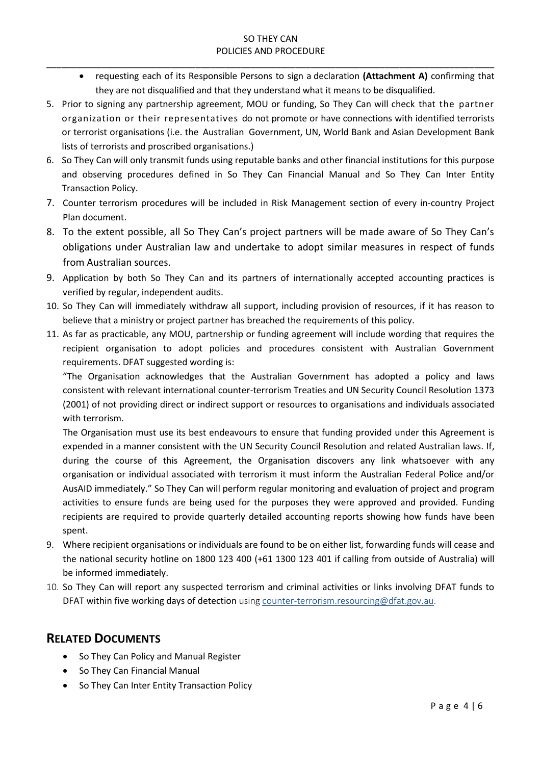\_\_\_\_\_\_\_\_\_\_\_\_\_\_\_\_\_\_\_\_\_\_\_\_\_\_\_\_\_\_\_\_\_\_\_\_\_\_\_\_\_\_\_\_\_\_\_\_\_\_\_\_\_\_\_\_\_\_\_\_\_\_\_\_\_\_\_\_\_\_\_\_\_\_\_\_\_\_\_\_\_\_\_\_\_\_\_\_\_\_

- requesting each of its Responsible Persons to sign a declaration **[\(Attachment A\)](https://www.acnc.gov.au/for-charities/manage-your-charity/governance-hub/governance-standards/4-suitability-responsible-0)** confirming that [they are not disqualified](https://www.acnc.gov.au/for-charities/manage-your-charity/governance-hub/governance-standards/4-suitability-responsible-0) and that they understand [what it means to be disqualified.](https://www.acnc.gov.au/for-charities/manage-your-charity/governance-hub/governance-standards/4-suitability-responsible-0)
- 5. Prior to signing any partnership agreement, MOU or funding, So They Can will check that the partner organization or their representatives do not promote or have connections with identified terrorists or terrorist organisations (i.e. the Australian Government, UN, World Bank and Asian Development Bank lists of terrorists and proscribed organisations.)
- 6. So They Can will only transmit funds using reputable banks and other financial institutions for this purpose and observing procedures defined in So They Can Financial Manual and So They Can Inter Entity Transaction Policy.
- 7. Counter terrorism procedures will be included in Risk Management section of every in-country Project Plan document.
- 8. To the extent possible, all So They Can's project partners will be made aware of So They Can's obligations under Australian law and undertake to adopt similar measures in respect of funds from Australian sources.
- 9. Application by both So They Can and its partners of internationally accepted accounting practices is verified by regular, independent audits.
- 10. So They Can will immediately withdraw all support, including provision of resources, if it has reason to believe that a ministry or project partner has breached the requirements of this policy.
- 11. As far as practicable, any MOU, partnership or funding agreement will include wording that requires the recipient organisation to adopt policies and procedures consistent with Australian Government requirements. DFAT suggested wording is:

"The Organisation acknowledges that the Australian Government has adopted a policy and laws consistent with relevant international counter-terrorism Treaties and UN Security Council Resolution 1373 (2001) of not providing direct or indirect support or resources to organisations and individuals associated with terrorism.

The Organisation must use its best endeavours to ensure that funding provided under this Agreement is expended in a manner consistent with the UN Security Council Resolution and related Australian laws. If, during the course of this Agreement, the Organisation discovers any link whatsoever with any organisation or individual associated with terrorism it must inform the Australian Federal Police and/or AusAID immediately." So They Can will perform regular monitoring and evaluation of project and program activities to ensure funds are being used for the purposes they were approved and provided. Funding recipients are required to provide quarterly detailed accounting reports showing how funds have been spent.

- 9. Where recipient organisations or individuals are found to be on either list, forwarding funds will cease and the national security hotline on 1800 123 400 (+61 1300 123 401 if calling from outside of Australia) will be informed immediately.
- 10. So They Can will report any suspected terrorism and criminal activities or links involving DFAT funds to DFAT within five working days of detection using [counter-terrorism.resourcing@dfat.gov.au.](mailto:counter-terrorism.resourcing@dfat.gov.au)

## **RELATED DOCUMENTS**

- So They Can Policy and Manual Register
- So They Can Financial Manual
- So They Can Inter Entity Transaction Policy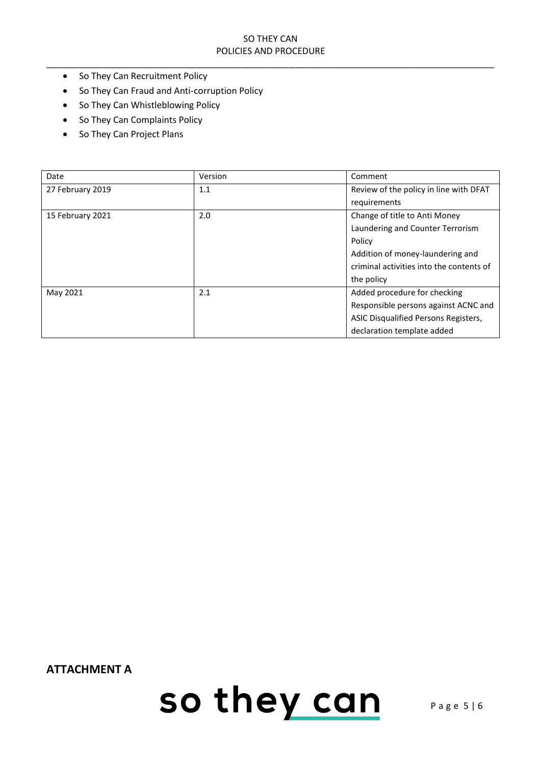\_\_\_\_\_\_\_\_\_\_\_\_\_\_\_\_\_\_\_\_\_\_\_\_\_\_\_\_\_\_\_\_\_\_\_\_\_\_\_\_\_\_\_\_\_\_\_\_\_\_\_\_\_\_\_\_\_\_\_\_\_\_\_\_\_\_\_\_\_\_\_\_\_\_\_\_\_\_\_\_\_\_\_\_\_\_\_\_\_\_

- So They Can Recruitment Policy
- So They Can Fraud and Anti-corruption Policy
- So They Can Whistleblowing Policy
- So They Can Complaints Policy
- So They Can Project Plans

| Date             | Version | Comment                                  |
|------------------|---------|------------------------------------------|
| 27 February 2019 | 1.1     | Review of the policy in line with DFAT   |
|                  |         | requirements                             |
| 15 February 2021 | 2.0     | Change of title to Anti Money            |
|                  |         | Laundering and Counter Terrorism         |
|                  |         | Policy                                   |
|                  |         | Addition of money-laundering and         |
|                  |         | criminal activities into the contents of |
|                  |         | the policy                               |
| May 2021         | 2.1     | Added procedure for checking             |
|                  |         | Responsible persons against ACNC and     |
|                  |         | ASIC Disqualified Persons Registers,     |
|                  |         | declaration template added               |

**ATTACHMENT A**

so they can